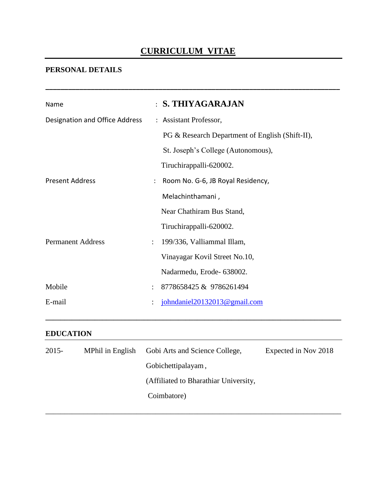# **CURRICULUM VITAE**

**\_\_\_\_\_\_\_\_\_\_\_\_\_\_\_\_\_\_\_\_\_\_\_\_\_\_\_\_\_\_\_\_\_\_\_\_\_\_\_\_\_\_\_\_\_\_\_\_\_\_\_\_\_\_\_\_\_\_\_\_\_\_\_\_\_\_\_\_\_\_\_\_\_\_\_\_\_\_**

# **PERSONAL DETAILS**

| Name                           |                      | <b>S. THIYAGARAJAN</b>                          |
|--------------------------------|----------------------|-------------------------------------------------|
| Designation and Office Address |                      | : Assistant Professor,                          |
|                                |                      | PG & Research Department of English (Shift-II), |
|                                |                      | St. Joseph's College (Autonomous),              |
|                                |                      | Tiruchirappalli-620002.                         |
| <b>Present Address</b>         |                      | Room No. G-6, JB Royal Residency,               |
|                                |                      | Melachinthamani,                                |
|                                |                      | Near Chathiram Bus Stand,                       |
|                                |                      | Tiruchirappalli-620002.                         |
| <b>Permanent Address</b>       | $\ddot{\phantom{a}}$ | 199/336, Valliammal Illam,                      |
|                                |                      | Vinayagar Kovil Street No.10,                   |
|                                |                      | Nadarmedu, Erode- 638002.                       |
| Mobile                         |                      | 8778658425 & 9786261494                         |
| E-mail                         |                      | johndaniel20132013@gmail.com                    |
|                                |                      |                                                 |

### **EDUCATION**

| $2015 -$ | MPhil in English | Gobi Arts and Science College,        | Expected in Nov 2018 |
|----------|------------------|---------------------------------------|----------------------|
|          |                  | Gobichettipalayam,                    |                      |
|          |                  | (Affiliated to Bharathiar University, |                      |
|          |                  | Coimbatore)                           |                      |
|          |                  |                                       |                      |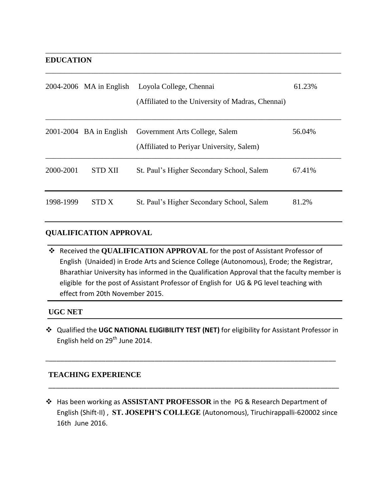### **EDUCATION**

|           | $2004-2006$ MA in English | Loyola College, Chennai<br>(Affiliated to the University of Madras, Chennai) | 61.23% |
|-----------|---------------------------|------------------------------------------------------------------------------|--------|
|           | $2001-2004$ BA in English | Government Arts College, Salem<br>(Affiliated to Periyar University, Salem)  | 56.04% |
| 2000-2001 | <b>STD XII</b>            | St. Paul's Higher Secondary School, Salem                                    | 67.41% |
| 1998-1999 | <b>STDX</b>               | St. Paul's Higher Secondary School, Salem                                    | 81.2%  |

\_\_\_\_\_\_\_\_\_\_\_\_\_\_\_\_\_\_\_\_\_\_\_\_\_\_\_\_\_\_\_\_\_\_\_\_\_\_\_\_\_\_\_\_\_\_\_\_\_\_\_\_\_\_\_\_\_\_\_\_\_\_\_\_\_\_\_\_\_\_\_\_\_\_\_\_\_\_

\_\_\_\_\_\_\_\_\_\_\_\_\_\_\_\_\_\_\_\_\_\_\_\_\_\_\_\_\_\_\_\_\_\_\_\_\_\_\_\_\_\_\_\_\_\_\_\_\_\_\_\_\_\_\_\_\_\_\_\_\_\_\_\_\_\_\_\_\_\_\_\_\_\_\_\_\_\_

## **QUALIFICATION APPROVAL**

 Received the **QUALIFICATION APPROVAL** for the post of Assistant Professor of English (Unaided) in Erode Arts and Science College (Autonomous), Erode; the Registrar, Bharathiar University has informed in the Qualification Approval that the faculty member is eligible for the post of Assistant Professor of English for UG & PG level teaching with effect from 20th November 2015.

## **UGC NET**

 Qualified the **UGC NATIONAL ELIGIBILITY TEST (NET)** for eligibility for Assistant Professor in English held on 29<sup>th</sup> June 2014.

\_\_\_\_\_\_\_\_\_\_\_\_\_\_\_\_\_\_\_\_\_\_\_\_\_\_\_\_\_\_\_\_\_\_\_\_\_\_\_\_\_\_\_\_\_\_\_\_\_\_\_\_\_\_\_\_\_\_\_\_\_\_\_\_\_\_\_\_\_\_\_\_\_\_\_\_\_

#### **TEACHING EXPERIENCE**

 Has been working as **ASSISTANT PROFESSOR** in the PG & Research Department of English (Shift-II) , **ST. JOSEPH"S COLLEGE** (Autonomous), Tiruchirappalli-620002 since 16th June 2016.

\_\_\_\_\_\_\_\_\_\_\_\_\_\_\_\_\_\_\_\_\_\_\_\_\_\_\_\_\_\_\_\_\_\_\_\_\_\_\_\_\_\_\_\_\_\_\_\_\_\_\_\_\_\_\_\_\_\_\_\_\_\_\_\_\_\_\_\_\_\_\_\_\_\_\_\_\_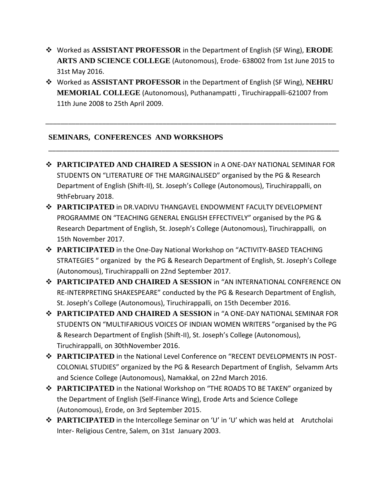- Worked as **ASSISTANT PROFESSOR** in the Department of English (SF Wing), **ERODE ARTS AND SCIENCE COLLEGE** (Autonomous), Erode- 638002 from 1st June 2015 to 31st May 2016.
- Worked as **ASSISTANT PROFESSOR** in the Department of English (SF Wing), **NEHRU MEMORIAL COLLEGE** (Autonomous), Puthanampatti , Tiruchirappalli-621007 from 11th June 2008 to 25th April 2009.

\_\_\_\_\_\_\_\_\_\_\_\_\_\_\_\_\_\_\_\_\_\_\_\_\_\_\_\_\_\_\_\_\_\_\_\_\_\_\_\_\_\_\_\_\_\_\_\_\_\_\_\_\_\_\_\_\_\_\_\_\_\_\_\_\_\_\_\_\_\_\_\_\_\_\_\_\_

\_\_\_\_\_\_\_\_\_\_\_\_\_\_\_\_\_\_\_\_\_\_\_\_\_\_\_\_\_\_\_\_\_\_\_\_\_\_\_\_\_\_\_\_\_\_\_\_\_\_\_\_\_\_\_\_\_\_\_\_\_\_\_\_\_\_\_\_\_\_\_\_\_\_\_\_\_

# **SEMINARS, CONFERENCES AND WORKSHOPS**

- **PARTICIPATED AND CHAIRED A SESSION** in A ONE-DAY NATIONAL SEMINAR FOR STUDENTS ON "LITERATURE OF THE MARGINALISED" organised by the PG & Research Department of English (Shift-II), St. Joseph's College (Autonomous), Tiruchirappalli, on 9thFebruary 2018.
- **PARTICIPATED** in DR.VADIVU THANGAVEL ENDOWMENT FACULTY DEVELOPMENT PROGRAMME ON "TEACHING GENERAL ENGLISH EFFECTIVELY" organised by the PG & Research Department of English, St. Joseph's College (Autonomous), Tiruchirappalli, on 15th November 2017.
- **PARTICIPATED** in the One-Day National Workshop on "ACTIVITY-BASED TEACHING STRATEGIES " organized by the PG & Research Department of English, St. Joseph's College (Autonomous), Tiruchirappalli on 22nd September 2017.
- **PARTICIPATED AND CHAIRED A SESSION** in "AN INTERNATIONAL CONFERENCE ON RE-INTERPRETING SHAKESPEARE" conducted by the PG & Research Department of English, St. Joseph's College (Autonomous), Tiruchirappalli, on 15th December 2016.
- **PARTICIPATED AND CHAIRED A SESSION** in "A ONE-DAY NATIONAL SEMINAR FOR STUDENTS ON "MULTIFARIOUS VOICES OF INDIAN WOMEN WRITERS "organised by the PG & Research Department of English (Shift-II), St. Joseph's College (Autonomous), Tiruchirappalli, on 30thNovember 2016.
- **PARTICIPATED** in the National Level Conference on "RECENT DEVELOPMENTS IN POST-COLONIAL STUDIES" organized by the PG & Research Department of English, Selvamm Arts and Science College (Autonomous), Namakkal, on 22nd March 2016.
- **PARTICIPATED** in the National Workshop on "THE ROADS TO BE TAKEN" organized by the Department of English (Self-Finance Wing), Erode Arts and Science College (Autonomous), Erode, on 3rd September 2015.
- **→ PARTICIPATED** in the Intercollege Seminar on 'U' in 'U' which was held at Arutcholai Inter- Religious Centre, Salem, on 31st January 2003.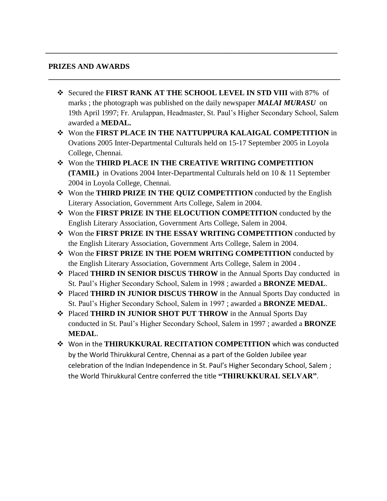### **PRIZES AND AWARDS**

 Secured the **FIRST RANK AT THE SCHOOL LEVEL IN STD VIII** with 87% of marks ; the photograph was published on the daily newspaper *MALAI MURASU* on 19th April 1997; Fr. Arulappan, Headmaster, St. Paul's Higher Secondary School, Salem awarded a **MEDAL.**

**\_\_\_\_\_\_\_\_\_\_\_\_\_\_\_\_\_\_\_\_\_\_\_\_\_\_\_\_\_\_\_\_\_\_\_\_\_\_\_\_\_\_\_\_\_\_\_\_\_\_\_\_\_\_\_\_\_\_\_\_\_\_\_\_\_\_\_\_\_\_\_\_\_\_\_\_\_**

**\_\_\_\_\_\_\_\_\_\_\_\_\_\_\_\_\_\_\_\_\_\_\_\_\_\_\_\_\_\_\_\_\_\_\_\_\_\_\_\_\_\_\_\_\_\_\_\_\_\_\_\_\_\_\_\_\_\_\_\_\_\_\_\_\_\_\_\_\_\_\_\_\_\_\_\_\_**

- Won the **FIRST PLACE IN THE NATTUPPURA KALAIGAL COMPETITION** in Ovations 2005 Inter-Departmental Culturals held on 15-17 September 2005 in Loyola College, Chennai.
- Won the **THIRD PLACE IN THE CREATIVE WRITING COMPETITION (TAMIL)** in Ovations 2004 Inter-Departmental Culturals held on 10 & 11 September 2004 in Loyola College, Chennai.
- Won the **THIRD PRIZE IN THE QUIZ COMPETITION** conducted by the English Literary Association, Government Arts College, Salem in 2004.
- Won the **FIRST PRIZE IN THE ELOCUTION COMPETITION** conducted by the English Literary Association, Government Arts College, Salem in 2004.
- Won the **FIRST PRIZE IN THE ESSAY WRITING COMPETITION** conducted by the English Literary Association, Government Arts College, Salem in 2004.
- Won the **FIRST PRIZE IN THE POEM WRITING COMPETITION** conducted by the English Literary Association, Government Arts College, Salem in 2004 .
- Placed **THIRD IN SENIOR DISCUS THROW** in the Annual Sports Day conducted in St. Paul's Higher Secondary School, Salem in 1998 ; awarded a **BRONZE MEDAL**.
- Placed **THIRD IN JUNIOR DISCUS THROW** in the Annual Sports Day conducted in St. Paul's Higher Secondary School, Salem in 1997 ; awarded a **BRONZE MEDAL**.
- Placed **THIRD IN JUNIOR SHOT PUT THROW** in the Annual Sports Day conducted in St. Paul's Higher Secondary School, Salem in 1997 ; awarded a **BRONZE MEDAL**.
- Won in the **THIRUKKURAL RECITATION COMPETITION** which was conducted by the World Thirukkural Centre, Chennai as a part of the Golden Jubilee year celebration of the Indian Independence in St. Paul's Higher Secondary School, Salem ; the World Thirukkural Centre conferred the title **"THIRUKKURAL SELVAR"**.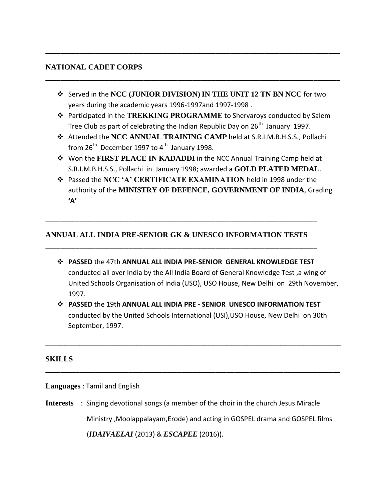### **NATIONAL CADET CORPS**

 Served in the **NCC (JUNIOR DIVISION) IN THE UNIT 12 TN BN NCC** for two years during the academic years 1996-1997and 1997-1998 .

**\_\_\_\_\_\_\_\_\_\_\_\_\_\_\_\_\_\_\_\_\_\_\_\_\_\_\_\_\_\_\_\_\_\_\_\_\_\_\_\_\_\_\_\_\_\_\_\_\_\_\_\_\_\_\_\_\_\_\_\_\_\_\_\_\_\_\_\_\_\_\_\_\_\_\_\_\_\_**

**\_\_\_\_\_\_\_\_\_\_\_\_\_\_\_\_\_\_\_\_\_\_\_\_\_\_\_\_\_\_\_\_\_\_\_\_\_\_\_\_\_\_\_\_\_\_\_\_\_\_\_\_\_\_\_\_\_\_\_\_\_\_\_\_\_\_\_\_\_\_\_\_\_\_\_\_\_\_**

- Participated in the **TREKKING PROGRAMME** to Shervaroys conducted by Salem Tree Club as part of celebrating the Indian Republic Day on  $26<sup>th</sup>$  January 1997.
- Attended the **NCC ANNUAL TRAINING CAMP** held at S.R.I.M.B.H.S.S., Pollachi from  $26<sup>th</sup>$  December 1997 to  $4<sup>th</sup>$  January 1998.
- Won the **FIRST PLACE IN KADADDI** in the NCC Annual Training Camp held at S.R.I.M.B.H.S.S., Pollachi in January 1998; awarded a **GOLD PLATED MEDAL**.
- Passed the **NCC "A" CERTIFICATE EXAMINATION** held in 1998 under the authority of the **MINISTRY OF DEFENCE, GOVERNMENT OF INDIA**, Grading **'A'**

# **ANNUAL ALL INDIA PRE-SENIOR GK & UNESCO INFORMATION TESTS**

**\_\_\_\_\_\_\_\_\_\_\_\_\_\_\_\_\_\_\_\_\_\_\_\_\_\_\_\_\_\_\_\_\_\_\_\_\_\_\_\_\_\_\_\_\_\_\_\_\_\_\_\_\_\_\_\_\_\_\_\_\_\_\_\_\_\_\_\_\_\_\_\_**

**\_\_\_\_\_\_\_\_\_\_\_\_\_\_\_\_\_\_\_\_\_\_\_\_\_\_\_\_\_\_\_\_\_\_\_\_\_\_\_\_\_\_\_\_\_\_\_\_\_\_\_\_\_\_\_\_\_\_\_\_\_\_\_\_\_\_\_\_\_\_\_\_**

- **PASSED** the 47th **ANNUAL ALL INDIA PRE-SENIOR GENERAL KNOWLEDGE TEST**  conducted all over India by the All India Board of General Knowledge Test ,a wing of United Schools Organisation of India (USO), USO House, New Delhi on 29th November, 1997.
- **PASSED** the 19th **ANNUAL ALL INDIA PRE - SENIOR UNESCO INFORMATION TEST**  conducted by the United Schools International (USI),USO House, New Delhi on 30th September, 1997.

**\_\_\_\_\_\_\_\_\_\_\_\_\_\_\_\_\_\_\_\_\_\_\_\_\_\_\_\_\_\_\_\_\_\_\_\_\_\_\_\_\_\_\_\_\_\_\_\_\_\_\_\_\_\_\_\_\_\_\_\_\_\_\_\_\_\_\_\_\_\_\_\_\_\_\_\_\_\_**

**\_\_\_\_\_\_\_\_\_\_\_\_\_\_\_\_\_\_\_\_\_\_\_\_\_\_\_\_\_\_\_\_\_\_\_\_\_\_\_\_\_\_\_\_\_\_\_\_\_\_\_\_\_\_\_\_\_\_\_\_\_\_\_\_\_\_\_\_\_\_\_\_\_\_\_\_\_\_**

#### **SKILLS**

**Languages** : Tamil and English

**Interests** : Singing devotional songs (a member of the choir in the church Jesus Miracle Ministry ,Moolappalayam,Erode) and acting in GOSPEL drama and GOSPEL films (*IDAIVAELAI* (2013) & *ESCAPEE* (2016)).